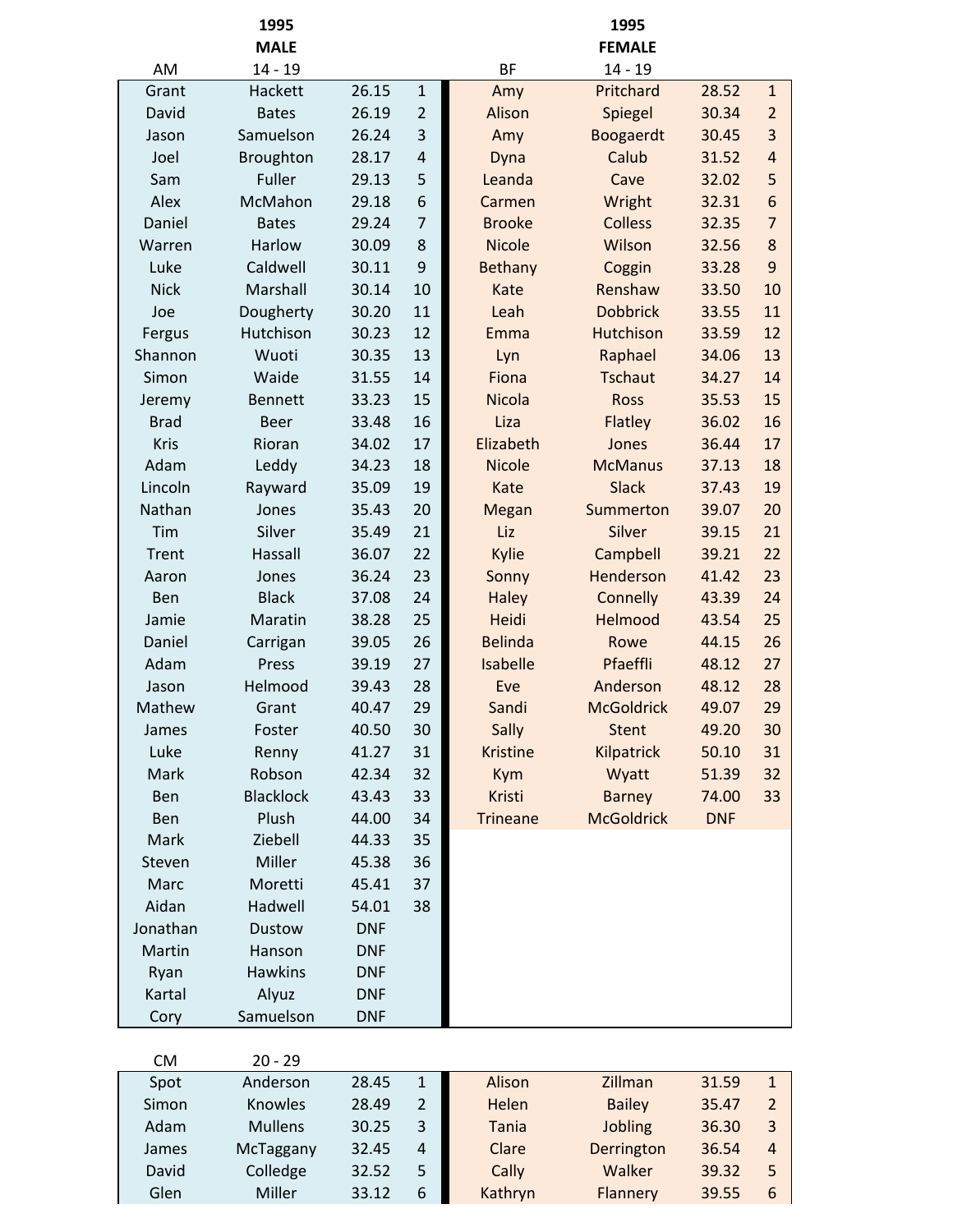|             | 1995             |            |                |                 | 1995              |            |                |
|-------------|------------------|------------|----------------|-----------------|-------------------|------------|----------------|
|             | <b>MALE</b>      |            |                |                 | <b>FEMALE</b>     |            |                |
| AM          | $14 - 19$        |            |                | <b>BF</b>       | $14 - 19$         |            |                |
| Grant       | Hackett          | 26.15      | $\mathbf{1}$   | Amy             | Pritchard         | 28.52      | $\mathbf{1}$   |
| David       | <b>Bates</b>     | 26.19      | $\overline{2}$ | Alison          | Spiegel           | 30.34      | $\overline{2}$ |
| Jason       | Samuelson        | 26.24      | 3              | Amy             | Boogaerdt         | 30.45      | 3              |
| Joel        | Broughton        | 28.17      | $\overline{4}$ | Dyna            | Calub             | 31.52      | $\overline{4}$ |
| Sam         | Fuller           | 29.13      | 5              | Leanda          | Cave              | 32.02      | 5              |
| Alex        | McMahon          | 29.18      | 6              | Carmen          | Wright            | 32.31      | 6              |
| Daniel      | <b>Bates</b>     | 29.24      | $\overline{7}$ | <b>Brooke</b>   | <b>Colless</b>    | 32.35      | $\overline{7}$ |
| Warren      | Harlow           | 30.09      | 8              | <b>Nicole</b>   | Wilson            | 32.56      | 8              |
| Luke        | Caldwell         | 30.11      | 9              | Bethany         | Coggin            | 33.28      | 9              |
| <b>Nick</b> | Marshall         | 30.14      | 10             | Kate            | Renshaw           | 33.50      | 10             |
| Joe         | Dougherty        | 30.20      | 11             | Leah            | <b>Dobbrick</b>   | 33.55      | 11             |
| Fergus      | Hutchison        | 30.23      | 12             | Emma            | <b>Hutchison</b>  | 33.59      | 12             |
| Shannon     | Wuoti            | 30.35      | 13             | Lyn             | Raphael           | 34.06      | 13             |
| Simon       | Waide            | 31.55      | 14             | Fiona           | <b>Tschaut</b>    | 34.27      | 14             |
| Jeremy      | <b>Bennett</b>   | 33.23      | 15             | <b>Nicola</b>   | <b>Ross</b>       | 35.53      | 15             |
| <b>Brad</b> | <b>Beer</b>      | 33.48      | 16             | Liza            | Flatley           | 36.02      | 16             |
| Kris        | Rioran           | 34.02      | 17             | Elizabeth       | Jones             | 36.44      | 17             |
| Adam        | Leddy            | 34.23      | 18             | <b>Nicole</b>   | <b>McManus</b>    | 37.13      | 18             |
| Lincoln     | Rayward          | 35.09      | 19             | Kate            | <b>Slack</b>      | 37.43      | 19             |
| Nathan      | Jones            | 35.43      | 20             | Megan           | Summerton         | 39.07      | 20             |
| Tim         | Silver           | 35.49      | 21             | Liz             | Silver            | 39.15      | 21             |
| Trent       | Hassall          | 36.07      | 22             | Kylie           | Campbell          | 39.21      | 22             |
| Aaron       | Jones            | 36.24      | 23             | Sonny           | Henderson         | 41.42      | 23             |
| Ben         | <b>Black</b>     | 37.08      | 24             | <b>Haley</b>    | Connelly          | 43.39      | 24             |
| Jamie       | Maratin          | 38.28      | 25             | Heidi           | Helmood           | 43.54      | 25             |
| Daniel      | Carrigan         | 39.05      | 26             | <b>Belinda</b>  | Rowe              | 44.15      | 26             |
| Adam        | Press            | 39.19      | 27             | Isabelle        | Pfaeffli          | 48.12      | 27             |
| Jason       | Helmood          | 39.43      | 28             | Eve             | Anderson          | 48.12      | 28             |
| Mathew      | Grant            | 40.47      | 29             | Sandi           | <b>McGoldrick</b> | 49.07      | 29             |
| James       | Foster           | 40.50      | 30             | Sally           | <b>Stent</b>      | 49.20      | 30             |
| Luke        | Renny            | 41.27      | 31             | <b>Kristine</b> | Kilpatrick        | 50.10      | 31             |
| Mark        | Robson           | 42.34      | 32             | Kym             | Wyatt             | 51.39      | 32             |
| Ben         | <b>Blacklock</b> | 43.43      | 33             | Kristi          | <b>Barney</b>     | 74.00      | 33             |
| Ben         | Plush            | 44.00      | 34             | <b>Trineane</b> | <b>McGoldrick</b> | <b>DNF</b> |                |
| Mark        | Ziebell          | 44.33      | 35             |                 |                   |            |                |
| Steven      | Miller           | 45.38      | 36             |                 |                   |            |                |
| Marc        | Moretti          | 45.41      | 37             |                 |                   |            |                |
| Aidan       | Hadwell          | 54.01      | 38             |                 |                   |            |                |
| Jonathan    | <b>Dustow</b>    | <b>DNF</b> |                |                 |                   |            |                |
| Martin      | Hanson           | <b>DNF</b> |                |                 |                   |            |                |
| Ryan        | <b>Hawkins</b>   | <b>DNF</b> |                |                 |                   |            |                |
| Kartal      | Alyuz            | <b>DNF</b> |                |                 |                   |            |                |
| Cory        | Samuelson        | <b>DNF</b> |                |                 |                   |            |                |
| CM          | $20 - 29$        |            |                |                 |                   |            |                |

| ◡᠁    | <i>LW LI</i>   |       |   |         |               |       |                |
|-------|----------------|-------|---|---------|---------------|-------|----------------|
| Spot  | Anderson       | 28.45 |   | Alison  | Zillman       | 31.59 |                |
| Simon | <b>Knowles</b> | 28.49 | 2 | Helen   | <b>Bailey</b> | 35.47 |                |
| Adam  | <b>Mullens</b> | 30.25 | 3 | Tania   | Jobling       | 36.30 |                |
| James | McTaggany      | 32.45 | 4 | Clare   | Derrington    | 36.54 | $\overline{4}$ |
| David | Colledge       | 32.52 | 5 | Cally   | Walker        | 39.32 | 5              |
| Glen  | Miller         | 33.12 | 6 | Kathryn | Flannery      | 39.55 | 6              |
|       |                |       |   |         |               |       |                |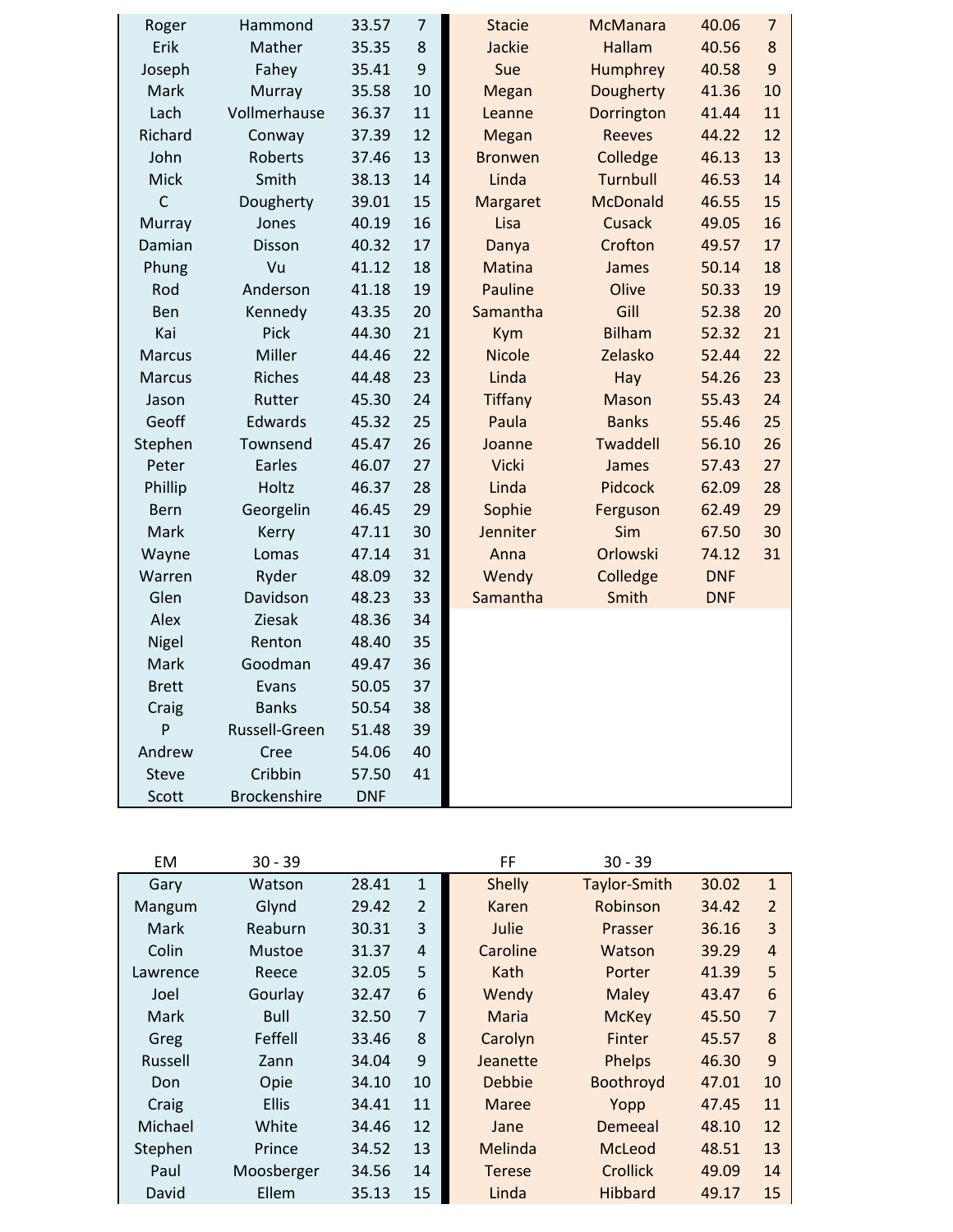| Roger         | Hammond             | 33.57      | $\overline{7}$ | <b>Stacie</b>  | <b>McManara</b> | 40.06      | $\overline{7}$   |
|---------------|---------------------|------------|----------------|----------------|-----------------|------------|------------------|
| Erik          | Mather              | 35.35      | 8              | Jackie         | <b>Hallam</b>   | 40.56      | 8                |
| Joseph        | Fahey               | 35.41      | 9              | Sue            | Humphrey        | 40.58      | $\boldsymbol{9}$ |
| Mark          | Murray              | 35.58      | 10             | Megan          | Dougherty       | 41.36      | 10               |
| Lach          | Vollmerhause        | 36.37      | 11             | Leanne         | Dorrington      | 41.44      | 11               |
| Richard       | Conway              | 37.39      | 12             | Megan          | <b>Reeves</b>   | 44.22      | 12               |
| John          | Roberts             | 37.46      | 13             | <b>Bronwen</b> | Colledge        | 46.13      | 13               |
| Mick          | Smith               | 38.13      | 14             | Linda          | Turnbull        | 46.53      | 14               |
| $\mathsf{C}$  | Dougherty           | 39.01      | 15             | Margaret       | <b>McDonald</b> | 46.55      | 15               |
| Murray        | Jones               | 40.19      | 16             | Lisa           | <b>Cusack</b>   | 49.05      | 16               |
| Damian        | Disson              | 40.32      | 17             | Danya          | Crofton         | 49.57      | 17               |
| Phung         | Vu                  | 41.12      | 18             | <b>Matina</b>  | James           | 50.14      | 18               |
| Rod           | Anderson            | 41.18      | 19             | <b>Pauline</b> | Olive           | 50.33      | 19               |
| Ben           | Kennedy             | 43.35      | 20             | Samantha       | Gill            | 52.38      | 20               |
| Kai           | Pick                | 44.30      | 21             | Kym            | <b>Bilham</b>   | 52.32      | 21               |
| Marcus        | Miller              | 44.46      | 22             | <b>Nicole</b>  | Zelasko         | 52.44      | 22               |
| <b>Marcus</b> | <b>Riches</b>       | 44.48      | 23             | Linda          | Hay             | 54.26      | 23               |
| Jason         | Rutter              | 45.30      | 24             | <b>Tiffany</b> | <b>Mason</b>    | 55.43      | 24               |
| Geoff         | Edwards             | 45.32      | 25             | Paula          | <b>Banks</b>    | 55.46      | 25               |
| Stephen       | Townsend            | 45.47      | 26             | Joanne         | Twaddell        | 56.10      | 26               |
| Peter         | Earles              | 46.07      | 27             | <b>Vicki</b>   | James           | 57.43      | 27               |
| Phillip       | Holtz               | 46.37      | 28             | Linda          | Pidcock         | 62.09      | 28               |
| <b>Bern</b>   | Georgelin           | 46.45      | 29             | Sophie         | Ferguson        | 62.49      | 29               |
| Mark          | Kerry               | 47.11      | 30             | Jenniter       | Sim             | 67.50      | 30               |
| Wayne         | Lomas               | 47.14      | 31             | Anna           | Orlowski        | 74.12      | 31               |
| Warren        | Ryder               | 48.09      | 32             | Wendy          | Colledge        | <b>DNF</b> |                  |
| Glen          | Davidson            | 48.23      | 33             | Samantha       | Smith           | <b>DNF</b> |                  |
| Alex          | Ziesak              | 48.36      | 34             |                |                 |            |                  |
| Nigel         | Renton              | 48.40      | 35             |                |                 |            |                  |
| Mark          | Goodman             | 49.47      | 36             |                |                 |            |                  |
| <b>Brett</b>  | Evans               | 50.05      | 37             |                |                 |            |                  |
| Craig         | <b>Banks</b>        | 50.54      | 38             |                |                 |            |                  |
| P             | Russell-Green       | 51.48      | 39             |                |                 |            |                  |
| Andrew        | Cree                | 54.06      | 40             |                |                 |            |                  |
| <b>Steve</b>  | Cribbin             | 57.50      | 41             |                |                 |            |                  |
| Scott         | <b>Brockenshire</b> | <b>DNF</b> |                |                |                 |            |                  |

| EM.      | $30 - 39$    |       |                | FF            | $30 - 39$           |       |                |
|----------|--------------|-------|----------------|---------------|---------------------|-------|----------------|
| Gary     | Watson       | 28.41 | 1              | <b>Shelly</b> | <b>Taylor-Smith</b> | 30.02 | $\mathbf{1}$   |
| Mangum   | Glynd        | 29.42 | $\overline{2}$ | Karen         | Robinson            | 34.42 | $\overline{2}$ |
| Mark     | Reaburn      | 30.31 | 3              | Julie         | Prasser             | 36.16 | 3              |
| Colin    | Mustoe       | 31.37 | 4              | Caroline      | Watson              | 39.29 | $\overline{4}$ |
| Lawrence | Reece        | 32.05 | 5              | Kath          | Porter              | 41.39 | 5              |
| Joel     | Gourlay      | 32.47 | 6              | Wendy         | Maley               | 43.47 | 6              |
| Mark     | Bull         | 32.50 | 7              | Maria         | <b>McKey</b>        | 45.50 | 7              |
| Greg     | Feffell      | 33.46 | 8              | Carolyn       | Finter              | 45.57 | 8              |
| Russell  | Zann         | 34.04 | 9              | Jeanette      | Phelps              | 46.30 | 9              |
| Don      | Opie         | 34.10 | 10             | Debbie        | Boothroyd           | 47.01 | 10             |
| Craig    | <b>Ellis</b> | 34.41 | 11             | Maree         | Yopp                | 47.45 | 11             |
| Michael  | White        | 34.46 | 12             | Jane          | Demeeal             | 48.10 | 12             |
| Stephen  | Prince       | 34.52 | 13             | Melinda       | McLeod              | 48.51 | 13             |
| Paul     | Moosberger   | 34.56 | 14             | <b>Terese</b> | Crollick            | 49.09 | 14             |
| David    | Ellem        | 35.13 | 15             | Linda         | Hibbard             | 49.17 | 15             |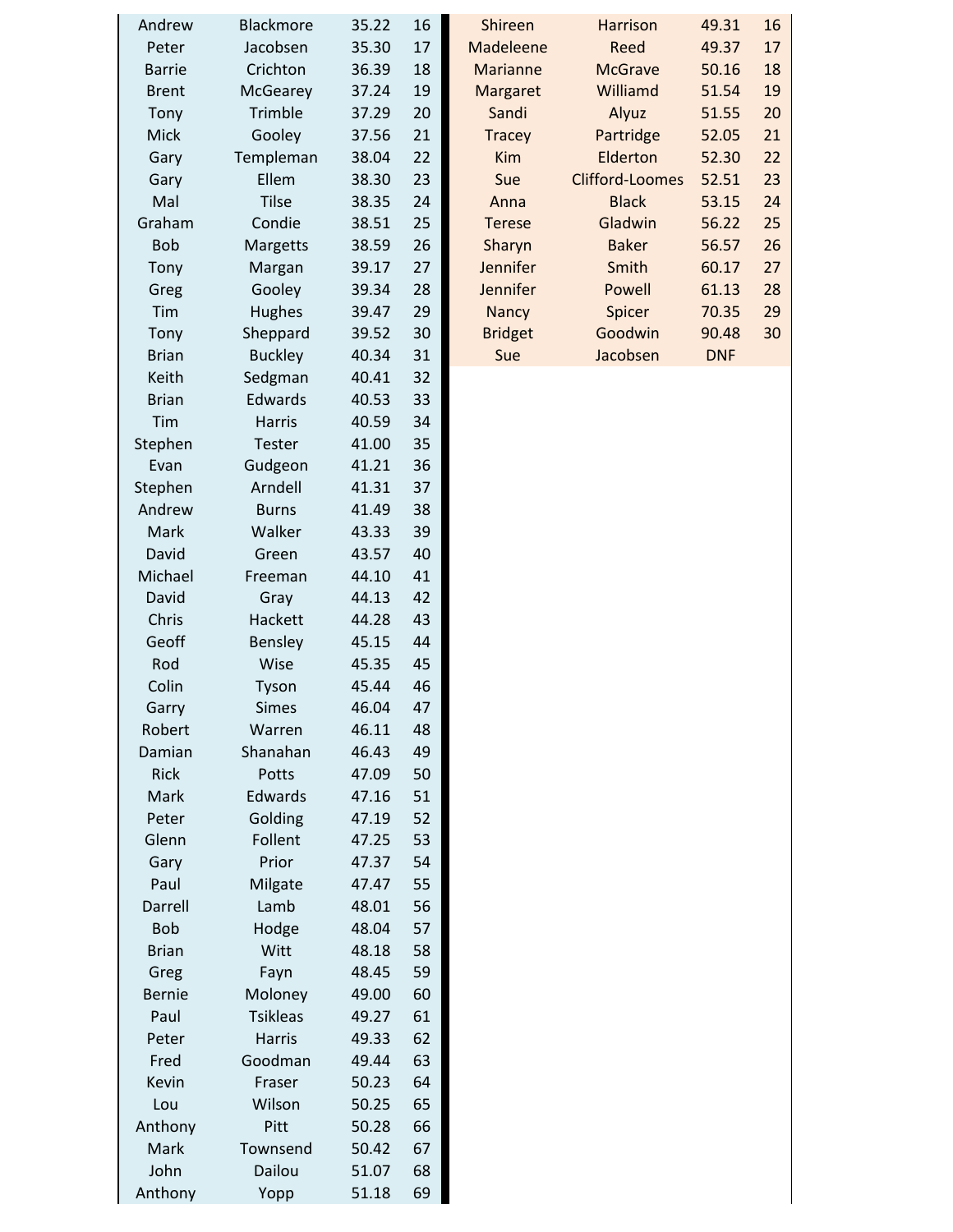| Andrew        | <b>Blackmore</b> | 35.22 | 16 | <b>Shireen</b>  | <b>Harrison</b>        | 49.31      | 16 |
|---------------|------------------|-------|----|-----------------|------------------------|------------|----|
| Peter         | Jacobsen         | 35.30 | 17 | Madeleene       | Reed                   | 49.37      | 17 |
| <b>Barrie</b> | Crichton         | 36.39 | 18 | <b>Marianne</b> | <b>McGrave</b>         | 50.16      | 18 |
| <b>Brent</b>  | McGearey         | 37.24 | 19 | Margaret        | Williamd               | 51.54      | 19 |
| Tony          | Trimble          | 37.29 | 20 | Sandi           | Alyuz                  | 51.55      | 20 |
| <b>Mick</b>   | Gooley           | 37.56 | 21 | <b>Tracey</b>   | Partridge              | 52.05      | 21 |
| Gary          | Templeman        | 38.04 | 22 | Kim             | Elderton               | 52.30      | 22 |
| Gary          | Ellem            | 38.30 | 23 | Sue             | <b>Clifford-Loomes</b> | 52.51      | 23 |
| Mal           | <b>Tilse</b>     | 38.35 | 24 | Anna            | <b>Black</b>           | 53.15      | 24 |
| Graham        | Condie           | 38.51 | 25 | <b>Terese</b>   | Gladwin                | 56.22      | 25 |
| <b>Bob</b>    | Margetts         | 38.59 | 26 | Sharyn          | <b>Baker</b>           | 56.57      | 26 |
| Tony          | Margan           | 39.17 | 27 | Jennifer        | Smith                  | 60.17      | 27 |
| Greg          | Gooley           | 39.34 | 28 | Jennifer        | Powell                 | 61.13      | 28 |
| Tim           | Hughes           | 39.47 | 29 | <b>Nancy</b>    | Spicer                 | 70.35      | 29 |
| Tony          | Sheppard         | 39.52 | 30 | <b>Bridget</b>  | Goodwin                | 90.48      | 30 |
| <b>Brian</b>  | <b>Buckley</b>   | 40.34 | 31 | Sue             | Jacobsen               | <b>DNF</b> |    |
| Keith         | Sedgman          | 40.41 | 32 |                 |                        |            |    |
| <b>Brian</b>  | Edwards          | 40.53 | 33 |                 |                        |            |    |
| Tim           | <b>Harris</b>    | 40.59 | 34 |                 |                        |            |    |
| Stephen       | Tester           | 41.00 | 35 |                 |                        |            |    |
| Evan          | Gudgeon          | 41.21 | 36 |                 |                        |            |    |
| Stephen       | Arndell          | 41.31 | 37 |                 |                        |            |    |
| Andrew        | <b>Burns</b>     | 41.49 | 38 |                 |                        |            |    |
| Mark          | Walker           |       | 39 |                 |                        |            |    |
|               |                  | 43.33 |    |                 |                        |            |    |
| David         | Green            | 43.57 | 40 |                 |                        |            |    |
| Michael       | Freeman          | 44.10 | 41 |                 |                        |            |    |
| David         | Gray             | 44.13 | 42 |                 |                        |            |    |
| Chris         | Hackett          | 44.28 | 43 |                 |                        |            |    |
| Geoff         | <b>Bensley</b>   | 45.15 | 44 |                 |                        |            |    |
| Rod           | Wise             | 45.35 | 45 |                 |                        |            |    |
| Colin         | Tyson            | 45.44 | 46 |                 |                        |            |    |
| Garry         | <b>Simes</b>     | 46.04 | 47 |                 |                        |            |    |
| Robert        | Warren           | 46.11 | 48 |                 |                        |            |    |
| Damian        | Shanahan         | 46.43 | 49 |                 |                        |            |    |
| Rick          | Potts            | 47.09 | 50 |                 |                        |            |    |
| Mark          | Edwards          | 47.16 | 51 |                 |                        |            |    |
| Peter         | Golding          | 47.19 | 52 |                 |                        |            |    |
| Glenn         | Follent          | 47.25 | 53 |                 |                        |            |    |
| Gary          | Prior            | 47.37 | 54 |                 |                        |            |    |
| Paul          | Milgate          | 47.47 | 55 |                 |                        |            |    |
| Darrell       | Lamb             | 48.01 | 56 |                 |                        |            |    |
| <b>Bob</b>    | Hodge            | 48.04 | 57 |                 |                        |            |    |
| <b>Brian</b>  | Witt             | 48.18 | 58 |                 |                        |            |    |
| Greg          | Fayn             | 48.45 | 59 |                 |                        |            |    |
| <b>Bernie</b> | Moloney          | 49.00 | 60 |                 |                        |            |    |
| Paul          | <b>Tsikleas</b>  | 49.27 | 61 |                 |                        |            |    |
| Peter         | Harris           | 49.33 | 62 |                 |                        |            |    |
| Fred          | Goodman          | 49.44 | 63 |                 |                        |            |    |
| Kevin         | Fraser           | 50.23 | 64 |                 |                        |            |    |
| Lou           | Wilson           | 50.25 | 65 |                 |                        |            |    |
| Anthony       | Pitt             | 50.28 | 66 |                 |                        |            |    |
| Mark          | Townsend         | 50.42 | 67 |                 |                        |            |    |
| John          | Dailou           | 51.07 | 68 |                 |                        |            |    |
| Anthony       | Yopp             | 51.18 | 69 |                 |                        |            |    |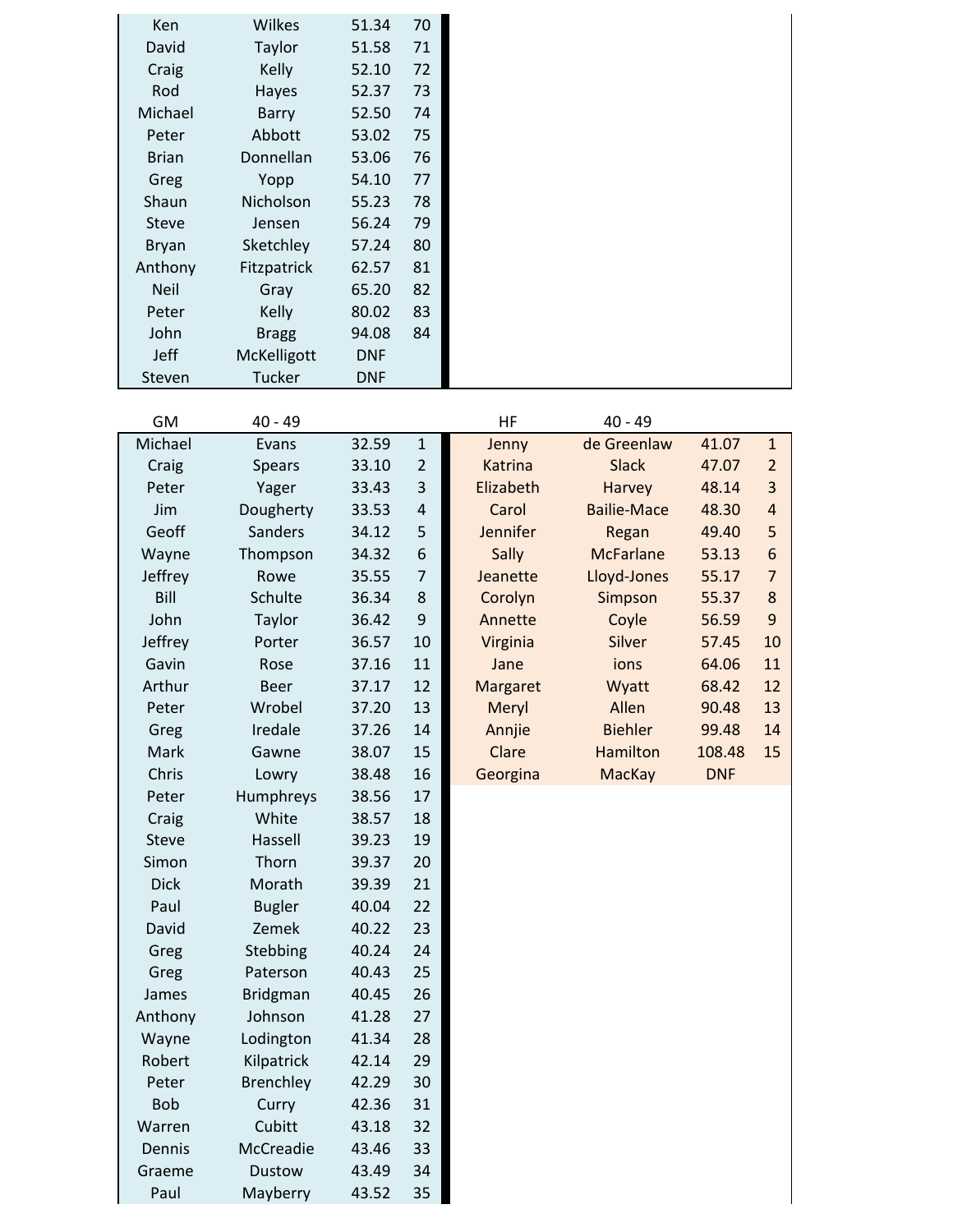| Ken           | Wilkes        | 51.34      | 70 |
|---------------|---------------|------------|----|
| David         | Taylor        | 51.58      | 71 |
| Craig         | Kelly         | 52.10      | 72 |
| Rod           | Hayes         | 52.37      | 73 |
| Michael       | Barry         | 52.50      | 74 |
| Peter         | Abbott        | 53.02      | 75 |
| <b>Brian</b>  | Donnellan     | 53.06      | 76 |
| Greg          | Yopp          | 54.10      | 77 |
| Shaun         | Nicholson     | 55.23      | 78 |
| <b>Steve</b>  | Jensen        | 56.24      | 79 |
| <b>Bryan</b>  | Sketchley     | 57.24      | 80 |
| Anthony       | Fitzpatrick   | 62.57      | 81 |
| <b>Neil</b>   | Gray          | 65.20      | 82 |
| Peter         | Kelly         | 80.02      | 83 |
| John          | <b>Bragg</b>  | 94.08      | 84 |
| Jeff          | McKelligott   | <b>DNF</b> |    |
| <b>Steven</b> | <b>Tucker</b> | <b>DNF</b> |    |

| GM           | $40 - 49$       |       |                | HF             | $40 - 49$          |            |                |
|--------------|-----------------|-------|----------------|----------------|--------------------|------------|----------------|
| Michael      | Evans           | 32.59 | $\mathbf{1}$   | Jenny          | de Greenlaw        | 41.07      | $\mathbf 1$    |
| Craig        | <b>Spears</b>   | 33.10 | $\overline{2}$ | <b>Katrina</b> | <b>Slack</b>       | 47.07      | $\overline{2}$ |
| Peter        | Yager           | 33.43 | 3              | Elizabeth      | Harvey             | 48.14      | 3              |
| Jim          | Dougherty       | 33.53 | 4              | Carol          | <b>Bailie-Mace</b> | 48.30      | $\overline{a}$ |
| Geoff        | Sanders         | 34.12 | 5              | Jennifer       | Regan              | 49.40      | 5              |
| Wayne        | Thompson        | 34.32 | 6              | Sally          | <b>McFarlane</b>   | 53.13      | $6\phantom{1}$ |
| Jeffrey      | Rowe            | 35.55 | $\overline{7}$ | Jeanette       | Lloyd-Jones        | 55.17      | $\overline{7}$ |
| Bill         | Schulte         | 36.34 | 8              | Corolyn        | Simpson            | 55.37      | $\bf 8$        |
| John         | Taylor          | 36.42 | 9              | Annette        | Coyle              | 56.59      | 9              |
| Jeffrey      | Porter          | 36.57 | 10             | Virginia       | Silver             | 57.45      | 10             |
| Gavin        | Rose            | 37.16 | 11             | Jane           | ions               | 64.06      | 11             |
| Arthur       | <b>Beer</b>     | 37.17 | 12             | Margaret       | Wyatt              | 68.42      | 12             |
| Peter        | Wrobel          | 37.20 | 13             | Meryl          | Allen              | 90.48      | 13             |
| Greg         | Iredale         | 37.26 | 14             | Annjie         | <b>Biehler</b>     | 99.48      | 14             |
| Mark         | Gawne           | 38.07 | 15             | Clare          | <b>Hamilton</b>    | 108.48     | 15             |
| Chris        | Lowry           | 38.48 | 16             | Georgina       | <b>MacKay</b>      | <b>DNF</b> |                |
| Peter        | Humphreys       | 38.56 | 17             |                |                    |            |                |
| Craig        | White           | 38.57 | 18             |                |                    |            |                |
| <b>Steve</b> | Hassell         | 39.23 | 19             |                |                    |            |                |
| Simon        | Thorn           | 39.37 | 20             |                |                    |            |                |
| <b>Dick</b>  | Morath          | 39.39 | 21             |                |                    |            |                |
| Paul         | <b>Bugler</b>   | 40.04 | 22             |                |                    |            |                |
| David        | Zemek           | 40.22 | 23             |                |                    |            |                |
| Greg         | Stebbing        | 40.24 | 24             |                |                    |            |                |
| Greg         | Paterson        | 40.43 | 25             |                |                    |            |                |
| James        | <b>Bridgman</b> | 40.45 | 26             |                |                    |            |                |
| Anthony      | Johnson         | 41.28 | 27             |                |                    |            |                |
| Wayne        | Lodington       | 41.34 | 28             |                |                    |            |                |
| Robert       | Kilpatrick      | 42.14 | 29             |                |                    |            |                |
| Peter        | Brenchley       | 42.29 | 30             |                |                    |            |                |
| <b>Bob</b>   | Curry           | 42.36 | 31             |                |                    |            |                |
| Warren       | Cubitt          | 43.18 | 32             |                |                    |            |                |
| Dennis       | McCreadie       | 43.46 | 33             |                |                    |            |                |
| Graeme       | <b>Dustow</b>   | 43.49 | 34             |                |                    |            |                |
| Paul         | Mayberry        | 43.52 | 35             |                |                    |            |                |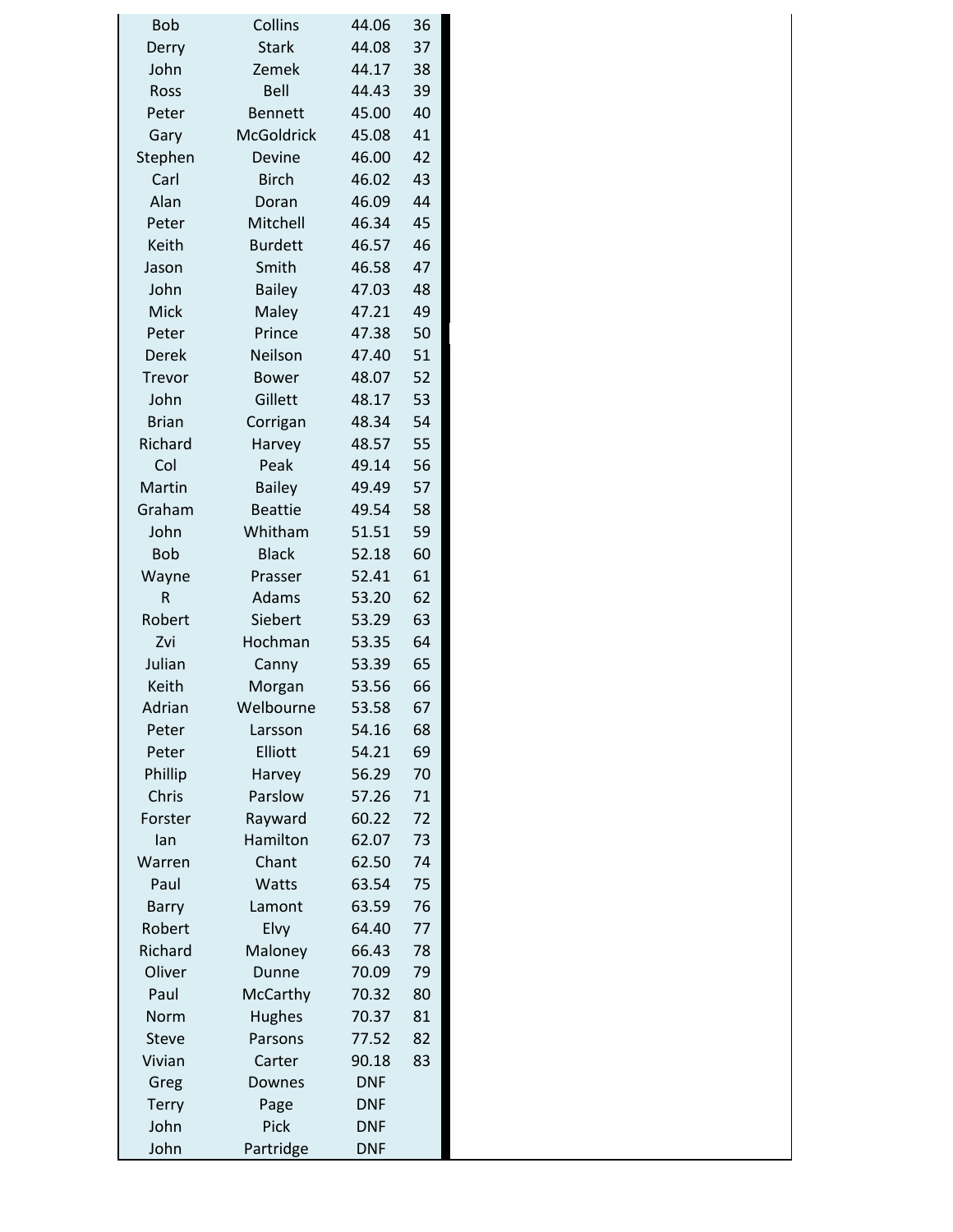| <b>Bob</b>   | Collins           | 44.06          | 36 |  |
|--------------|-------------------|----------------|----|--|
| Derry        | <b>Stark</b>      | 44.08          | 37 |  |
| John         | Zemek             | 44.17          | 38 |  |
| Ross         | Bell              | 44.43          | 39 |  |
| Peter        | <b>Bennett</b>    | 45.00          | 40 |  |
| Gary         | <b>McGoldrick</b> | 45.08          | 41 |  |
| Stephen      | Devine            | 46.00          | 42 |  |
| Carl         | <b>Birch</b>      | 46.02          | 43 |  |
| Alan         | Doran             | 46.09          | 44 |  |
| Peter        | Mitchell          | 46.34          | 45 |  |
| Keith        | <b>Burdett</b>    | 46.57          | 46 |  |
| Jason        | Smith             | 46.58          | 47 |  |
| John         | <b>Bailey</b>     | 47.03          | 48 |  |
| <b>Mick</b>  | Maley             | 47.21          | 49 |  |
| Peter        | Prince            | 47.38          | 50 |  |
| <b>Derek</b> | Neilson           | 47.40          | 51 |  |
| Trevor       | <b>Bower</b>      | 48.07          | 52 |  |
| John         | Gillett           | 48.17          | 53 |  |
| <b>Brian</b> | Corrigan          | 48.34          | 54 |  |
| Richard      | Harvey            | 48.57          | 55 |  |
| Col          | Peak              | 49.14          | 56 |  |
| Martin       | <b>Bailey</b>     | 49.49          | 57 |  |
| Graham       | <b>Beattie</b>    | 49.54          | 58 |  |
| John         | Whitham           | 51.51          | 59 |  |
| <b>Bob</b>   | <b>Black</b>      | 52.18          | 60 |  |
| Wayne        | Prasser           | 52.41          | 61 |  |
| R            | Adams             | 53.20          | 62 |  |
| Robert       | Siebert           | 53.29          | 63 |  |
| Zvi          | Hochman           | 53.35          | 64 |  |
| Julian       |                   |                | 65 |  |
| Keith        | Canny             | 53.39          |    |  |
|              | Morgan            | 53.56<br>53.58 | 66 |  |
| Adrian       | Welbourne         |                | 67 |  |
| Peter        | Larsson           | 54.16          | 68 |  |
| Peter        | Elliott           | 54.21          | 69 |  |
| Phillip      | Harvey            | 56.29          | 70 |  |
| Chris        | Parslow           | 57.26          | 71 |  |
| Forster      | Rayward           | 60.22          | 72 |  |
| lan          | Hamilton          | 62.07          | 73 |  |
| Warren       | Chant             | 62.50          | 74 |  |
| Paul         | Watts             | 63.54          | 75 |  |
| <b>Barry</b> | Lamont            | 63.59          | 76 |  |
| Robert       | Elvy              | 64.40          | 77 |  |
| Richard      | Maloney           | 66.43          | 78 |  |
| Oliver       | Dunne             | 70.09          | 79 |  |
| Paul         | McCarthy          | 70.32          | 80 |  |
| Norm         | <b>Hughes</b>     | 70.37          | 81 |  |
| <b>Steve</b> | Parsons           | 77.52          | 82 |  |
| Vivian       | Carter            | 90.18          | 83 |  |
| Greg         | Downes            | <b>DNF</b>     |    |  |
| <b>Terry</b> | Page              | <b>DNF</b>     |    |  |
| John         | Pick              | <b>DNF</b>     |    |  |
| John         | Partridge         | <b>DNF</b>     |    |  |